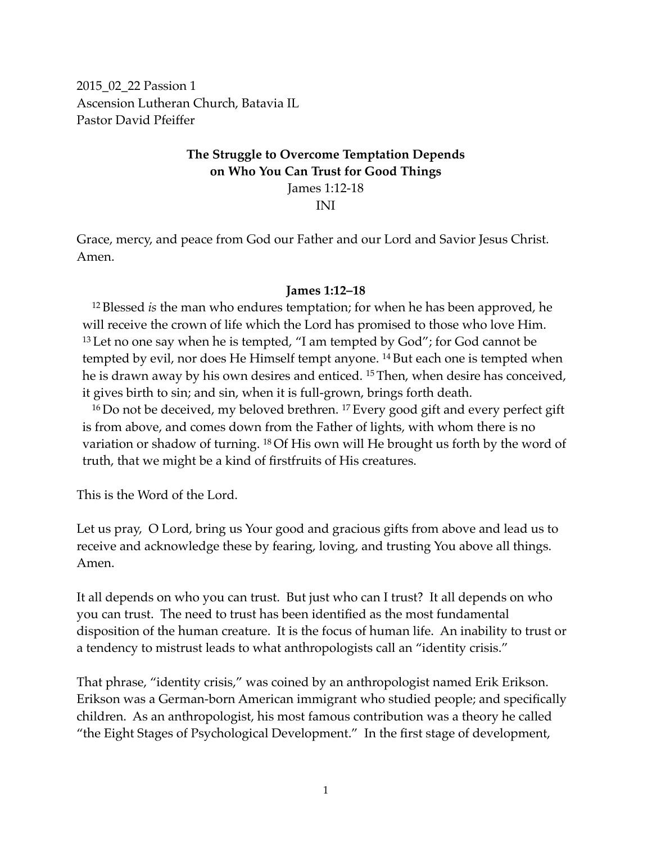2015\_02\_22 Passion 1 Ascension Lutheran Church, Batavia IL Pastor David Pfeiffer

### **The Struggle to Overcome Temptation Depends on Who You Can Trust for Good Things** James 1:12-18

INI

Grace, mercy, and peace from God our Father and our Lord and Savior Jesus Christ. Amen.

#### **James 1:12–18**

<sup>12</sup> Blessed *is* the man who endures temptation; for when he has been approved, he will receive the crown of life which the Lord has promised to those who love Him.  $13$  Let no one say when he is tempted, "I am tempted by God"; for God cannot be tempted by evil, nor does He Himself tempt anyone. 14 But each one is tempted when he is drawn away by his own desires and enticed. <sup>15</sup> Then, when desire has conceived, it gives birth to sin; and sin, when it is full-grown, brings forth death.

<sup>16</sup> Do not be deceived, my beloved brethren. 17 Every good gift and every perfect gift is from above, and comes down from the Father of lights, with whom there is no variation or shadow of turning. 18 Of His own will He brought us forth by the word of truth, that we might be a kind of firstfruits of His creatures.

This is the Word of the Lord.

Let us pray, O Lord, bring us Your good and gracious gifts from above and lead us to receive and acknowledge these by fearing, loving, and trusting You above all things. Amen.

It all depends on who you can trust. But just who can I trust? It all depends on who you can trust. The need to trust has been identified as the most fundamental disposition of the human creature. It is the focus of human life. An inability to trust or a tendency to mistrust leads to what anthropologists call an "identity crisis."

That phrase, "identity crisis," was coined by an anthropologist named Erik Erikson. Erikson was a German-born American immigrant who studied people; and specifically children. As an anthropologist, his most famous contribution was a theory he called "the Eight Stages of Psychological Development." In the first stage of development,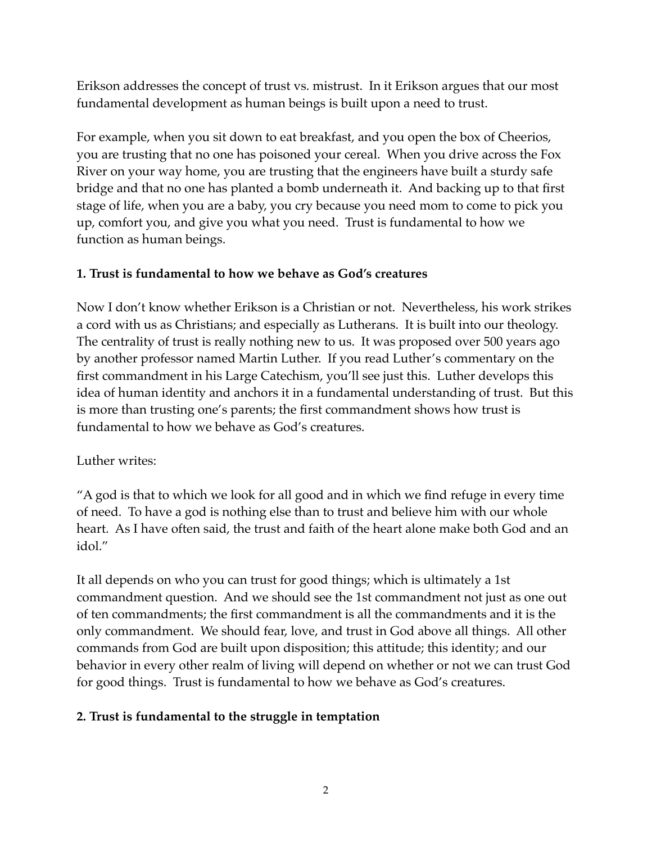Erikson addresses the concept of trust vs. mistrust. In it Erikson argues that our most fundamental development as human beings is built upon a need to trust.

For example, when you sit down to eat breakfast, and you open the box of Cheerios, you are trusting that no one has poisoned your cereal. When you drive across the Fox River on your way home, you are trusting that the engineers have built a sturdy safe bridge and that no one has planted a bomb underneath it. And backing up to that first stage of life, when you are a baby, you cry because you need mom to come to pick you up, comfort you, and give you what you need. Trust is fundamental to how we function as human beings.

#### **1. Trust is fundamental to how we behave as God's creatures**

Now I don't know whether Erikson is a Christian or not. Nevertheless, his work strikes a cord with us as Christians; and especially as Lutherans. It is built into our theology. The centrality of trust is really nothing new to us. It was proposed over 500 years ago by another professor named Martin Luther. If you read Luther's commentary on the first commandment in his Large Catechism, you'll see just this. Luther develops this idea of human identity and anchors it in a fundamental understanding of trust. But this is more than trusting one's parents; the first commandment shows how trust is fundamental to how we behave as God's creatures.

# Luther writes:

"A god is that to which we look for all good and in which we find refuge in every time of need. To have a god is nothing else than to trust and believe him with our whole heart. As I have often said, the trust and faith of the heart alone make both God and an idol."

It all depends on who you can trust for good things; which is ultimately a 1st commandment question. And we should see the 1st commandment not just as one out of ten commandments; the first commandment is all the commandments and it is the only commandment. We should fear, love, and trust in God above all things. All other commands from God are built upon disposition; this attitude; this identity; and our behavior in every other realm of living will depend on whether or not we can trust God for good things. Trust is fundamental to how we behave as God's creatures.

# **2. Trust is fundamental to the struggle in temptation**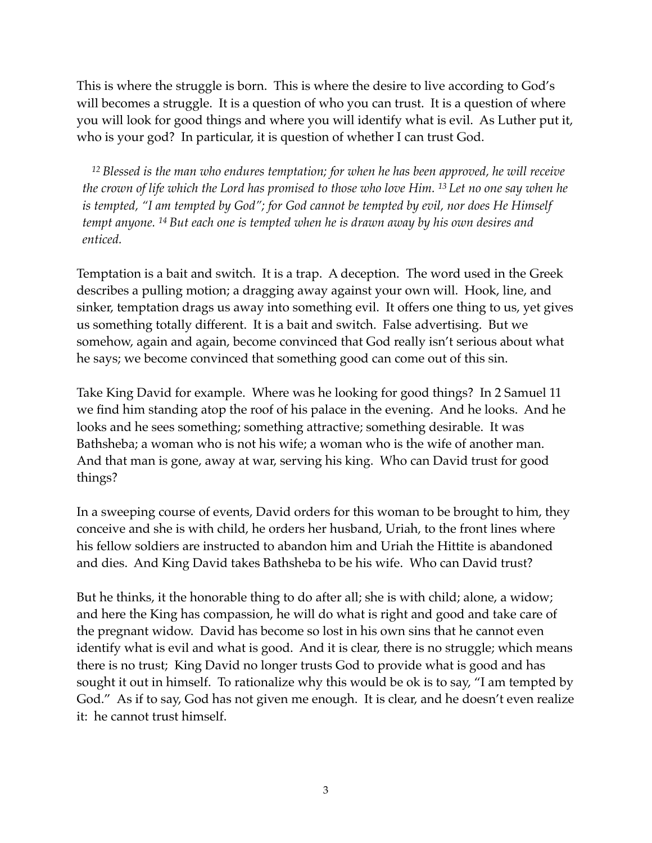This is where the struggle is born. This is where the desire to live according to God's will becomes a struggle. It is a question of who you can trust. It is a question of where you will look for good things and where you will identify what is evil. As Luther put it, who is your god? In particular, it is question of whether I can trust God.

*<sup>12</sup> Blessed is the man who endures temptation; for when he has been approved, he will receive the crown of life which the Lord has promised to those who love Him. 13 Let no one say when he is tempted, "I am tempted by God"; for God cannot be tempted by evil, nor does He Himself tempt anyone. 14 But each one is tempted when he is drawn away by his own desires and enticed.*

Temptation is a bait and switch. It is a trap. A deception. The word used in the Greek describes a pulling motion; a dragging away against your own will. Hook, line, and sinker, temptation drags us away into something evil. It offers one thing to us, yet gives us something totally different. It is a bait and switch. False advertising. But we somehow, again and again, become convinced that God really isn't serious about what he says; we become convinced that something good can come out of this sin.

Take King David for example. Where was he looking for good things? In 2 Samuel 11 we find him standing atop the roof of his palace in the evening. And he looks. And he looks and he sees something; something attractive; something desirable. It was Bathsheba; a woman who is not his wife; a woman who is the wife of another man. And that man is gone, away at war, serving his king. Who can David trust for good things?

In a sweeping course of events, David orders for this woman to be brought to him, they conceive and she is with child, he orders her husband, Uriah, to the front lines where his fellow soldiers are instructed to abandon him and Uriah the Hittite is abandoned and dies. And King David takes Bathsheba to be his wife. Who can David trust?

But he thinks, it the honorable thing to do after all; she is with child; alone, a widow; and here the King has compassion, he will do what is right and good and take care of the pregnant widow. David has become so lost in his own sins that he cannot even identify what is evil and what is good. And it is clear, there is no struggle; which means there is no trust; King David no longer trusts God to provide what is good and has sought it out in himself. To rationalize why this would be ok is to say, "I am tempted by God." As if to say, God has not given me enough. It is clear, and he doesn't even realize it: he cannot trust himself.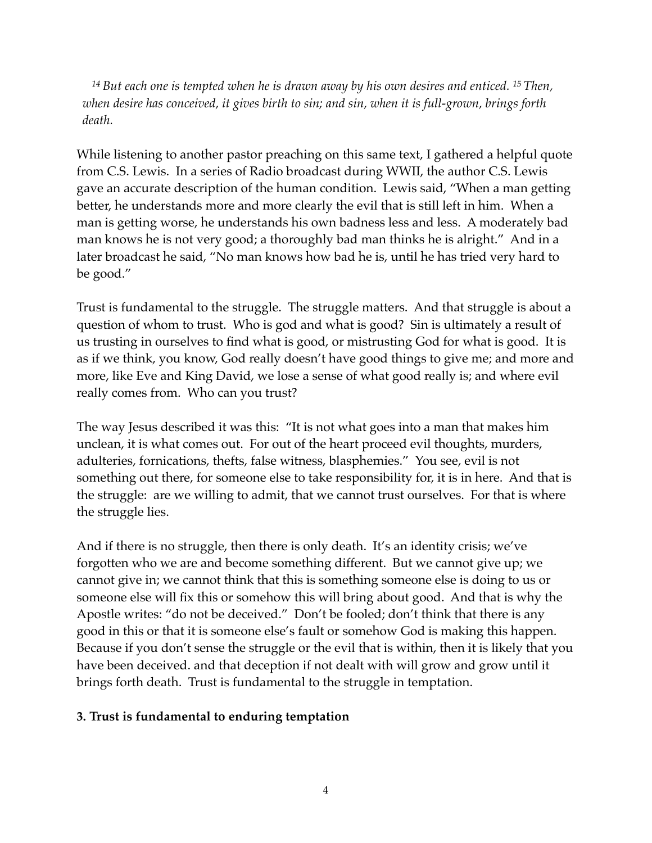*<sup>14</sup> But each one is tempted when he is drawn away by his own desires and enticed. 15 Then, when desire has conceived, it gives birth to sin; and sin, when it is full-grown, brings forth death.*

While listening to another pastor preaching on this same text, I gathered a helpful quote from C.S. Lewis. In a series of Radio broadcast during WWII, the author C.S. Lewis gave an accurate description of the human condition. Lewis said, "When a man getting better, he understands more and more clearly the evil that is still left in him. When a man is getting worse, he understands his own badness less and less. A moderately bad man knows he is not very good; a thoroughly bad man thinks he is alright." And in a later broadcast he said, "No man knows how bad he is, until he has tried very hard to be good."

Trust is fundamental to the struggle. The struggle matters. And that struggle is about a question of whom to trust. Who is god and what is good? Sin is ultimately a result of us trusting in ourselves to find what is good, or mistrusting God for what is good. It is as if we think, you know, God really doesn't have good things to give me; and more and more, like Eve and King David, we lose a sense of what good really is; and where evil really comes from. Who can you trust?

The way Jesus described it was this: "It is not what goes into a man that makes him unclean, it is what comes out. For out of the heart proceed evil thoughts, murders, adulteries, fornications, thefts, false witness, blasphemies." You see, evil is not something out there, for someone else to take responsibility for, it is in here. And that is the struggle: are we willing to admit, that we cannot trust ourselves. For that is where the struggle lies.

And if there is no struggle, then there is only death. It's an identity crisis; we've forgotten who we are and become something different. But we cannot give up; we cannot give in; we cannot think that this is something someone else is doing to us or someone else will fix this or somehow this will bring about good. And that is why the Apostle writes: "do not be deceived." Don't be fooled; don't think that there is any good in this or that it is someone else's fault or somehow God is making this happen. Because if you don't sense the struggle or the evil that is within, then it is likely that you have been deceived. and that deception if not dealt with will grow and grow until it brings forth death. Trust is fundamental to the struggle in temptation.

#### **3. Trust is fundamental to enduring temptation**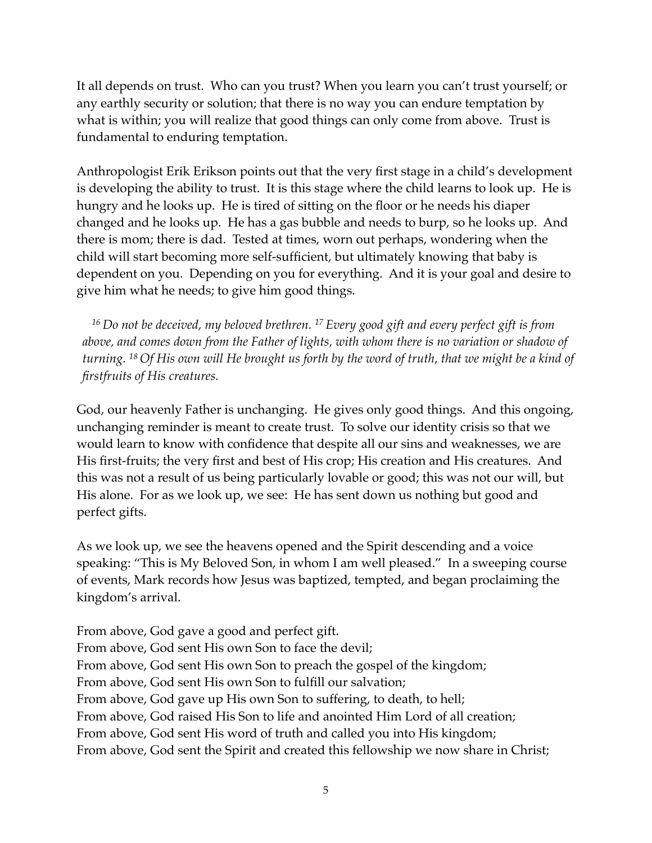It all depends on trust. Who can you trust? When you learn you can't trust yourself; or any earthly security or solution; that there is no way you can endure temptation by what is within; you will realize that good things can only come from above. Trust is fundamental to enduring temptation.

Anthropologist Erik Erikson points out that the very first stage in a child's development is developing the ability to trust. It is this stage where the child learns to look up. He is hungry and he looks up. He is tired of sitting on the floor or he needs his diaper changed and he looks up. He has a gas bubble and needs to burp, so he looks up. And there is mom; there is dad. Tested at times, worn out perhaps, wondering when the child will start becoming more self-sufficient, but ultimately knowing that baby is dependent on you. Depending on you for everything. And it is your goal and desire to give him what he needs; to give him good things.

*<sup>16</sup> Do not be deceived, my beloved brethren. 17 Every good gift and every perfect gift is from above, and comes down from the Father of lights, with whom there is no variation or shadow of turning. 18 Of His own will He brought us forth by the word of truth, that we might be a kind of firstfruits of His creatures.*

God, our heavenly Father is unchanging. He gives only good things. And this ongoing, unchanging reminder is meant to create trust. To solve our identity crisis so that we would learn to know with confidence that despite all our sins and weaknesses, we are His first-fruits; the very first and best of His crop; His creation and His creatures. And this was not a result of us being particularly lovable or good; this was not our will, but His alone. For as we look up, we see: He has sent down us nothing but good and perfect gifts.

As we look up, we see the heavens opened and the Spirit descending and a voice speaking: "This is My Beloved Son, in whom I am well pleased." In a sweeping course of events, Mark records how Jesus was baptized, tempted, and began proclaiming the kingdom's arrival.

From above, God gave a good and perfect gift. From above, God sent His own Son to face the devil; From above, God sent His own Son to preach the gospel of the kingdom; From above, God sent His own Son to fulfill our salvation; From above, God gave up His own Son to suffering, to death, to hell; From above, God raised His Son to life and anointed Him Lord of all creation; From above, God sent His word of truth and called you into His kingdom; From above, God sent the Spirit and created this fellowship we now share in Christ;